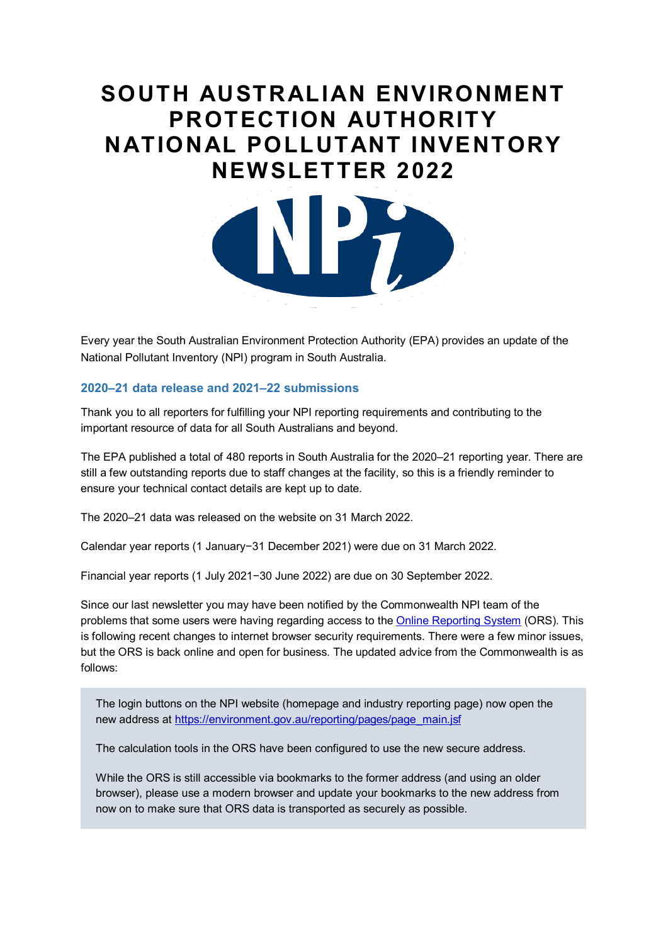# **SOUTH AUSTRALIAN ENVIRONMENT PROTECTION AUTHORITY NATIONAL POLLUTANT INVENTORY NEWSLETTER 2022**



Every year the South Australian Environment Protection Authority (EPA) provides an update of the National Pollutant Inventory (NPI) program in South Australia.

## **2020–21 data release and 2021–22 submissions**

 Thank you to all reporters for fulfilling your NPI reporting requirements and contributing to the important resource of data for all South Australians and beyond.

 The EPA published a total of 480 reports in South Australia for the 2020–21 reporting year. There are still a few outstanding reports due to staff changes at the facility, so this is a friendly reminder to ensure your technical contact details are kept up to date.

The 2020–21 data was released on the website on 31 March 2022.

Calendar year reports (1 January−31 December 2021) were due on 31 March 2022.

Financial year reports (1 July 2021−30 June 2022) are due on 30 September 2022.

 Since our last newsletter you may have been notified by the Commonwealth NPI team of the problems that some users were having regarding access to the <u>Online Reporting System</u> (ORS). This is following recent changes to internet browser security requirements. There were a few minor issues, but the ORS is back online and open for business. The updated advice from the Commonwealth is as follows:

The login buttons on the NPI website (homepage and industry reporting page) now open the new address at https://environment.gov.au/reporting/pages/page\_main.jsf

The calculation tools in the ORS have been configured to use the new secure address.

While the ORS is still accessible via bookmarks to the former address (and using an older browser), please use a modern browser and update your bookmarks to the new address from now on to make sure that ORS data is transported as securely as possible.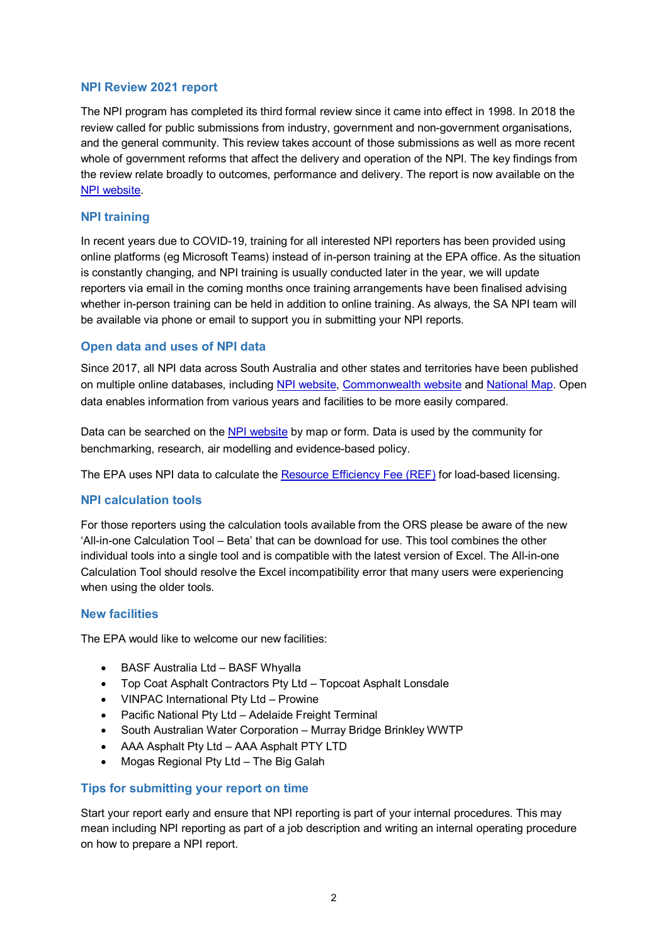## **NPI Review 2021 report**

 The NPI program has completed its third formal review since it came into effect in 1998. In 2018 the and the general community. This review takes account of those submissions as well as more recent whole of government reforms that affect the delivery and operation of the NPI. The key findings from [NPI website.](http://www.npi.gov.au/resource/npi-review-report-2021) review called for public submissions from industry, government and non-government organisations, the review relate broadly to outcomes, performance and delivery. The report is now available on the

## **NPI training**

 In recent years due to COVID-19, training for all interested NPI reporters has been provided using online platforms (eg Microsoft Teams) instead of in-person training at the EPA office. As the situation is constantly changing, and NPI training is usually conducted later in the year, we will update reporters via email in the coming months once training arrangements have been finalised advising whether in-person training can be held in addition to online training. As always, the SA NPI team will be available via phone or email to support you in submitting your NPI reports.

## **Open data and uses of NPI data**

 data enables information from various years and facilities to be more easily compared. Since 2017, all NPI data across South Australia and other states and territories have been published on multiple online databases, including [NPI website,](http://www.npi.gov.au/npi-data) [Commonwealth website](https://data.gov.au/dataset/ds-dga-043f58e0-a188-4458-b61c-04e5b540aea4/details) and [National Map.](https://nationalmap.gov.au/) Open

Data can be searched on the <u>NPI website</u> by map or form. Data is used by the community for benchmarking, research, air modelling and evidence-based policy.

The EPA uses NPI data to calculate the [Resource Efficiency Fee \(REF\)](https://www.epa.sa.gov.au/business_and_industry/licence_fee_system/components) for load-based licensing.

#### **NPI calculation tools**

 'All-in-one Calculation Tool – Beta' that can be download for use. This tool combines the other Calculation Tool should resolve the Excel incompatibility error that many users were experiencing For those reporters using the calculation tools available from the ORS please be aware of the new individual tools into a single tool and is compatible with the latest version of Excel. The All-in-one when using the older tools.

#### **New facilities**

The EPA would like to welcome our new facilities:

- BASF Australia Ltd BASF Whyalla
- Top Coat Asphalt Contractors Pty Ltd Topcoat Asphalt Lonsdale
- VINPAC International Pty Ltd Prowine
- Pacific National Pty Ltd Adelaide Freight Terminal
- South Australian Water Corporation Murray Bridge Brinkley WWTP
- AAA Asphalt Pty Ltd AAA Asphalt PTY LTD
- Mogas Regional Pty Ltd The Big Galah

#### **Tips for submitting your report on time**

 Start your report early and ensure that NPI reporting is part of your internal procedures. This may mean including NPI reporting as part of a job description and writing an internal operating procedure on how to prepare a NPI report.